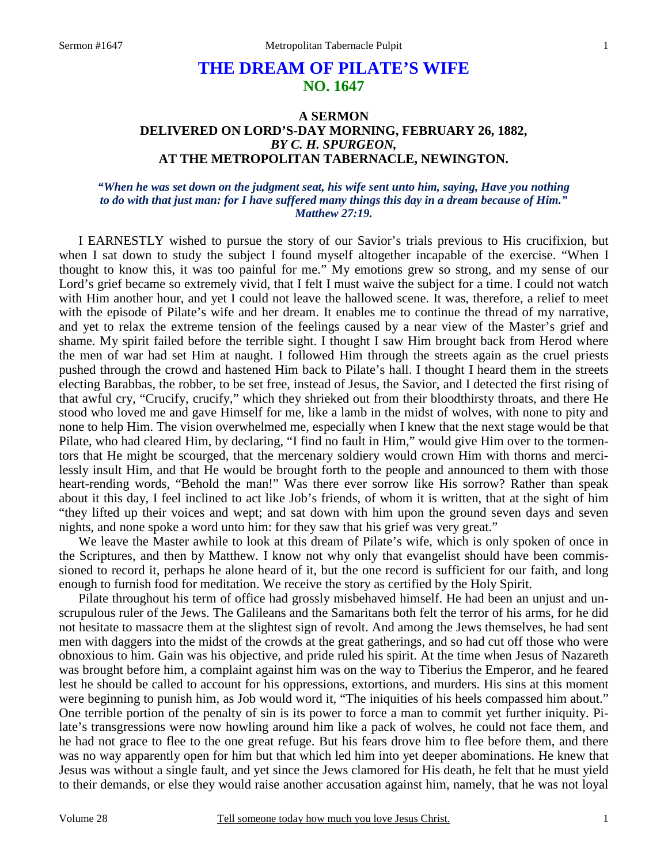# **THE DREAM OF PILATE'S WIFE NO. 1647**

# **A SERMON DELIVERED ON LORD'S-DAY MORNING, FEBRUARY 26, 1882,** *BY C. H. SPURGEON,*  **AT THE METROPOLITAN TABERNACLE, NEWINGTON.**

## *"When he was set down on the judgment seat, his wife sent unto him, saying, Have you nothing to do with that just man: for I have suffered many things this day in a dream because of Him." Matthew 27:19.*

I EARNESTLY wished to pursue the story of our Savior's trials previous to His crucifixion, but when I sat down to study the subject I found myself altogether incapable of the exercise. "When I thought to know this, it was too painful for me." My emotions grew so strong, and my sense of our Lord's grief became so extremely vivid, that I felt I must waive the subject for a time. I could not watch with Him another hour, and yet I could not leave the hallowed scene. It was, therefore, a relief to meet with the episode of Pilate's wife and her dream. It enables me to continue the thread of my narrative, and yet to relax the extreme tension of the feelings caused by a near view of the Master's grief and shame. My spirit failed before the terrible sight. I thought I saw Him brought back from Herod where the men of war had set Him at naught. I followed Him through the streets again as the cruel priests pushed through the crowd and hastened Him back to Pilate's hall. I thought I heard them in the streets electing Barabbas, the robber, to be set free, instead of Jesus, the Savior, and I detected the first rising of that awful cry, "Crucify, crucify," which they shrieked out from their bloodthirsty throats, and there He stood who loved me and gave Himself for me, like a lamb in the midst of wolves, with none to pity and none to help Him. The vision overwhelmed me, especially when I knew that the next stage would be that Pilate, who had cleared Him, by declaring, "I find no fault in Him," would give Him over to the tormentors that He might be scourged, that the mercenary soldiery would crown Him with thorns and mercilessly insult Him, and that He would be brought forth to the people and announced to them with those heart-rending words, "Behold the man!" Was there ever sorrow like His sorrow? Rather than speak about it this day, I feel inclined to act like Job's friends, of whom it is written, that at the sight of him "they lifted up their voices and wept; and sat down with him upon the ground seven days and seven nights, and none spoke a word unto him: for they saw that his grief was very great."

 We leave the Master awhile to look at this dream of Pilate's wife, which is only spoken of once in the Scriptures, and then by Matthew. I know not why only that evangelist should have been commissioned to record it, perhaps he alone heard of it, but the one record is sufficient for our faith, and long enough to furnish food for meditation. We receive the story as certified by the Holy Spirit.

 Pilate throughout his term of office had grossly misbehaved himself. He had been an unjust and unscrupulous ruler of the Jews. The Galileans and the Samaritans both felt the terror of his arms, for he did not hesitate to massacre them at the slightest sign of revolt. And among the Jews themselves, he had sent men with daggers into the midst of the crowds at the great gatherings, and so had cut off those who were obnoxious to him. Gain was his objective, and pride ruled his spirit. At the time when Jesus of Nazareth was brought before him, a complaint against him was on the way to Tiberius the Emperor, and he feared lest he should be called to account for his oppressions, extortions, and murders. His sins at this moment were beginning to punish him, as Job would word it, "The iniquities of his heels compassed him about." One terrible portion of the penalty of sin is its power to force a man to commit yet further iniquity. Pilate's transgressions were now howling around him like a pack of wolves, he could not face them, and he had not grace to flee to the one great refuge. But his fears drove him to flee before them, and there was no way apparently open for him but that which led him into yet deeper abominations. He knew that Jesus was without a single fault, and yet since the Jews clamored for His death, he felt that he must yield to their demands, or else they would raise another accusation against him, namely, that he was not loyal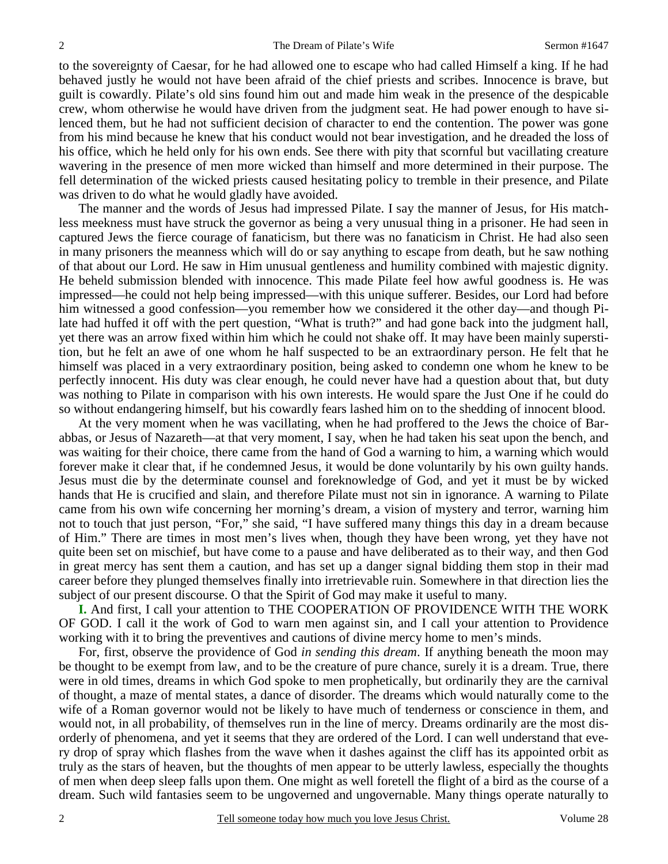to the sovereignty of Caesar, for he had allowed one to escape who had called Himself a king. If he had behaved justly he would not have been afraid of the chief priests and scribes. Innocence is brave, but guilt is cowardly. Pilate's old sins found him out and made him weak in the presence of the despicable crew, whom otherwise he would have driven from the judgment seat. He had power enough to have silenced them, but he had not sufficient decision of character to end the contention. The power was gone from his mind because he knew that his conduct would not bear investigation, and he dreaded the loss of his office, which he held only for his own ends. See there with pity that scornful but vacillating creature wavering in the presence of men more wicked than himself and more determined in their purpose. The fell determination of the wicked priests caused hesitating policy to tremble in their presence, and Pilate was driven to do what he would gladly have avoided.

 The manner and the words of Jesus had impressed Pilate. I say the manner of Jesus, for His matchless meekness must have struck the governor as being a very unusual thing in a prisoner. He had seen in captured Jews the fierce courage of fanaticism, but there was no fanaticism in Christ. He had also seen in many prisoners the meanness which will do or say anything to escape from death, but he saw nothing of that about our Lord. He saw in Him unusual gentleness and humility combined with majestic dignity. He beheld submission blended with innocence. This made Pilate feel how awful goodness is. He was impressed—he could not help being impressed—with this unique sufferer. Besides, our Lord had before him witnessed a good confession—you remember how we considered it the other day—and though Pilate had huffed it off with the pert question, "What is truth?" and had gone back into the judgment hall, yet there was an arrow fixed within him which he could not shake off. It may have been mainly superstition, but he felt an awe of one whom he half suspected to be an extraordinary person. He felt that he himself was placed in a very extraordinary position, being asked to condemn one whom he knew to be perfectly innocent. His duty was clear enough, he could never have had a question about that, but duty was nothing to Pilate in comparison with his own interests. He would spare the Just One if he could do so without endangering himself, but his cowardly fears lashed him on to the shedding of innocent blood.

 At the very moment when he was vacillating, when he had proffered to the Jews the choice of Barabbas, or Jesus of Nazareth—at that very moment, I say, when he had taken his seat upon the bench, and was waiting for their choice, there came from the hand of God a warning to him, a warning which would forever make it clear that, if he condemned Jesus, it would be done voluntarily by his own guilty hands. Jesus must die by the determinate counsel and foreknowledge of God, and yet it must be by wicked hands that He is crucified and slain, and therefore Pilate must not sin in ignorance. A warning to Pilate came from his own wife concerning her morning's dream, a vision of mystery and terror, warning him not to touch that just person, "For," she said, "I have suffered many things this day in a dream because of Him." There are times in most men's lives when, though they have been wrong, yet they have not quite been set on mischief, but have come to a pause and have deliberated as to their way, and then God in great mercy has sent them a caution, and has set up a danger signal bidding them stop in their mad career before they plunged themselves finally into irretrievable ruin. Somewhere in that direction lies the subject of our present discourse. O that the Spirit of God may make it useful to many.

**I.** And first, I call your attention to THE COOPERATION OF PROVIDENCE WITH THE WORK OF GOD. I call it the work of God to warn men against sin, and I call your attention to Providence working with it to bring the preventives and cautions of divine mercy home to men's minds.

 For, first, observe the providence of God *in sending this dream*. If anything beneath the moon may be thought to be exempt from law, and to be the creature of pure chance, surely it is a dream. True, there were in old times, dreams in which God spoke to men prophetically, but ordinarily they are the carnival of thought, a maze of mental states, a dance of disorder. The dreams which would naturally come to the wife of a Roman governor would not be likely to have much of tenderness or conscience in them, and would not, in all probability, of themselves run in the line of mercy. Dreams ordinarily are the most disorderly of phenomena, and yet it seems that they are ordered of the Lord. I can well understand that every drop of spray which flashes from the wave when it dashes against the cliff has its appointed orbit as truly as the stars of heaven, but the thoughts of men appear to be utterly lawless, especially the thoughts of men when deep sleep falls upon them. One might as well foretell the flight of a bird as the course of a dream. Such wild fantasies seem to be ungoverned and ungovernable. Many things operate naturally to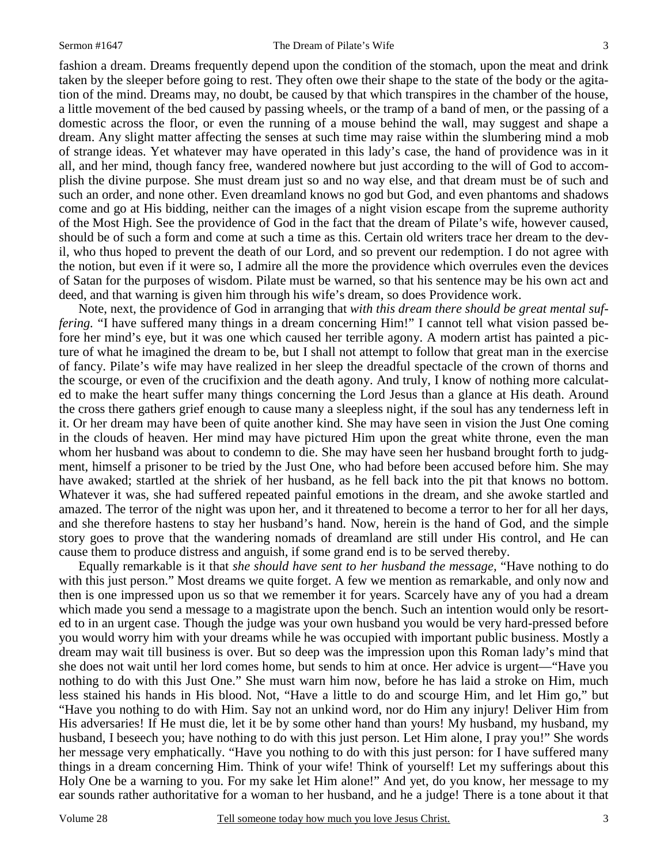fashion a dream. Dreams frequently depend upon the condition of the stomach, upon the meat and drink taken by the sleeper before going to rest. They often owe their shape to the state of the body or the agitation of the mind. Dreams may, no doubt, be caused by that which transpires in the chamber of the house, a little movement of the bed caused by passing wheels, or the tramp of a band of men, or the passing of a domestic across the floor, or even the running of a mouse behind the wall, may suggest and shape a dream. Any slight matter affecting the senses at such time may raise within the slumbering mind a mob of strange ideas. Yet whatever may have operated in this lady's case, the hand of providence was in it all, and her mind, though fancy free, wandered nowhere but just according to the will of God to accomplish the divine purpose. She must dream just so and no way else, and that dream must be of such and such an order, and none other. Even dreamland knows no god but God, and even phantoms and shadows come and go at His bidding, neither can the images of a night vision escape from the supreme authority of the Most High. See the providence of God in the fact that the dream of Pilate's wife, however caused, should be of such a form and come at such a time as this. Certain old writers trace her dream to the devil, who thus hoped to prevent the death of our Lord, and so prevent our redemption. I do not agree with the notion, but even if it were so, I admire all the more the providence which overrules even the devices of Satan for the purposes of wisdom. Pilate must be warned, so that his sentence may be his own act and deed, and that warning is given him through his wife's dream, so does Providence work.

 Note, next, the providence of God in arranging that *with this dream there should be great mental suffering.* "I have suffered many things in a dream concerning Him!" I cannot tell what vision passed before her mind's eye, but it was one which caused her terrible agony. A modern artist has painted a picture of what he imagined the dream to be, but I shall not attempt to follow that great man in the exercise of fancy. Pilate's wife may have realized in her sleep the dreadful spectacle of the crown of thorns and the scourge, or even of the crucifixion and the death agony. And truly, I know of nothing more calculated to make the heart suffer many things concerning the Lord Jesus than a glance at His death. Around the cross there gathers grief enough to cause many a sleepless night, if the soul has any tenderness left in it. Or her dream may have been of quite another kind. She may have seen in vision the Just One coming in the clouds of heaven. Her mind may have pictured Him upon the great white throne, even the man whom her husband was about to condemn to die. She may have seen her husband brought forth to judgment, himself a prisoner to be tried by the Just One, who had before been accused before him. She may have awaked; startled at the shriek of her husband, as he fell back into the pit that knows no bottom. Whatever it was, she had suffered repeated painful emotions in the dream, and she awoke startled and amazed. The terror of the night was upon her, and it threatened to become a terror to her for all her days, and she therefore hastens to stay her husband's hand. Now, herein is the hand of God, and the simple story goes to prove that the wandering nomads of dreamland are still under His control, and He can cause them to produce distress and anguish, if some grand end is to be served thereby.

 Equally remarkable is it that *she should have sent to her husband the message,* "Have nothing to do with this just person." Most dreams we quite forget. A few we mention as remarkable, and only now and then is one impressed upon us so that we remember it for years. Scarcely have any of you had a dream which made you send a message to a magistrate upon the bench. Such an intention would only be resorted to in an urgent case. Though the judge was your own husband you would be very hard-pressed before you would worry him with your dreams while he was occupied with important public business. Mostly a dream may wait till business is over. But so deep was the impression upon this Roman lady's mind that she does not wait until her lord comes home, but sends to him at once. Her advice is urgent—"Have you nothing to do with this Just One." She must warn him now, before he has laid a stroke on Him, much less stained his hands in His blood. Not, "Have a little to do and scourge Him, and let Him go," but "Have you nothing to do with Him. Say not an unkind word, nor do Him any injury! Deliver Him from His adversaries! If He must die, let it be by some other hand than yours! My husband, my husband, my husband, I beseech you; have nothing to do with this just person. Let Him alone, I pray you!" She words her message very emphatically. "Have you nothing to do with this just person: for I have suffered many things in a dream concerning Him. Think of your wife! Think of yourself! Let my sufferings about this Holy One be a warning to you. For my sake let Him alone!" And yet, do you know, her message to my ear sounds rather authoritative for a woman to her husband, and he a judge! There is a tone about it that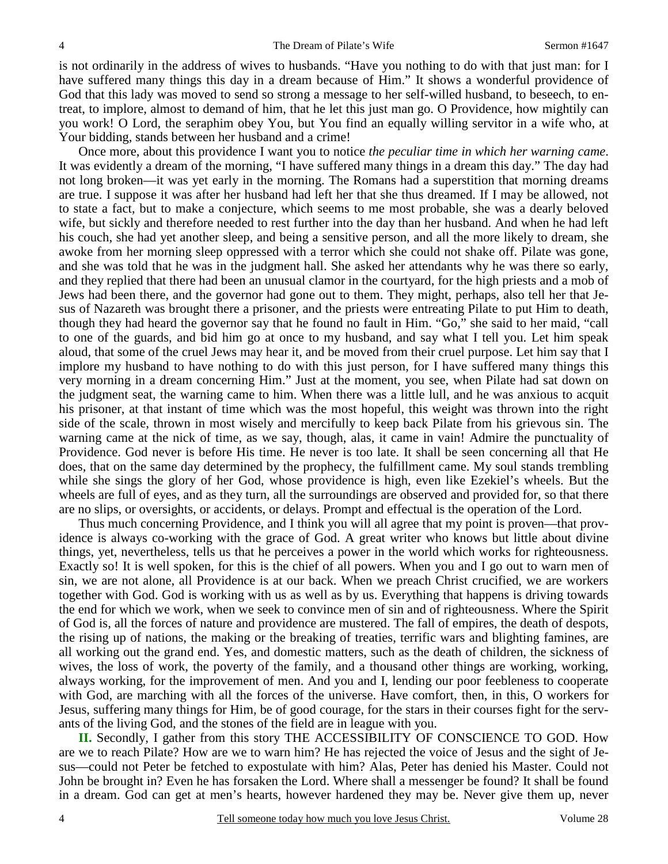is not ordinarily in the address of wives to husbands. "Have you nothing to do with that just man: for I have suffered many things this day in a dream because of Him." It shows a wonderful providence of God that this lady was moved to send so strong a message to her self-willed husband, to beseech, to entreat, to implore, almost to demand of him, that he let this just man go. O Providence, how mightily can you work! O Lord, the seraphim obey You, but You find an equally willing servitor in a wife who, at Your bidding, stands between her husband and a crime!

 Once more, about this providence I want you to notice *the peculiar time in which her warning came*. It was evidently a dream of the morning, "I have suffered many things in a dream this day." The day had not long broken—it was yet early in the morning. The Romans had a superstition that morning dreams are true. I suppose it was after her husband had left her that she thus dreamed. If I may be allowed, not to state a fact, but to make a conjecture, which seems to me most probable, she was a dearly beloved wife, but sickly and therefore needed to rest further into the day than her husband. And when he had left his couch, she had yet another sleep, and being a sensitive person, and all the more likely to dream, she awoke from her morning sleep oppressed with a terror which she could not shake off. Pilate was gone, and she was told that he was in the judgment hall. She asked her attendants why he was there so early, and they replied that there had been an unusual clamor in the courtyard, for the high priests and a mob of Jews had been there, and the governor had gone out to them. They might, perhaps, also tell her that Jesus of Nazareth was brought there a prisoner, and the priests were entreating Pilate to put Him to death, though they had heard the governor say that he found no fault in Him. "Go," she said to her maid, "call to one of the guards, and bid him go at once to my husband, and say what I tell you. Let him speak aloud, that some of the cruel Jews may hear it, and be moved from their cruel purpose. Let him say that I implore my husband to have nothing to do with this just person, for I have suffered many things this very morning in a dream concerning Him." Just at the moment, you see, when Pilate had sat down on the judgment seat, the warning came to him. When there was a little lull, and he was anxious to acquit his prisoner, at that instant of time which was the most hopeful, this weight was thrown into the right side of the scale, thrown in most wisely and mercifully to keep back Pilate from his grievous sin. The warning came at the nick of time, as we say, though, alas, it came in vain! Admire the punctuality of Providence. God never is before His time. He never is too late. It shall be seen concerning all that He does, that on the same day determined by the prophecy, the fulfillment came. My soul stands trembling while she sings the glory of her God, whose providence is high, even like Ezekiel's wheels. But the wheels are full of eyes, and as they turn, all the surroundings are observed and provided for, so that there are no slips, or oversights, or accidents, or delays. Prompt and effectual is the operation of the Lord.

 Thus much concerning Providence, and I think you will all agree that my point is proven—that providence is always co-working with the grace of God. A great writer who knows but little about divine things, yet, nevertheless, tells us that he perceives a power in the world which works for righteousness. Exactly so! It is well spoken, for this is the chief of all powers. When you and I go out to warn men of sin, we are not alone, all Providence is at our back. When we preach Christ crucified, we are workers together with God. God is working with us as well as by us. Everything that happens is driving towards the end for which we work, when we seek to convince men of sin and of righteousness. Where the Spirit of God is, all the forces of nature and providence are mustered. The fall of empires, the death of despots, the rising up of nations, the making or the breaking of treaties, terrific wars and blighting famines, are all working out the grand end. Yes, and domestic matters, such as the death of children, the sickness of wives, the loss of work, the poverty of the family, and a thousand other things are working, working, always working, for the improvement of men. And you and I, lending our poor feebleness to cooperate with God, are marching with all the forces of the universe. Have comfort, then, in this, O workers for Jesus, suffering many things for Him, be of good courage, for the stars in their courses fight for the servants of the living God, and the stones of the field are in league with you.

**II.** Secondly, I gather from this story THE ACCESSIBILITY OF CONSCIENCE TO GOD. How are we to reach Pilate? How are we to warn him? He has rejected the voice of Jesus and the sight of Jesus—could not Peter be fetched to expostulate with him? Alas, Peter has denied his Master. Could not John be brought in? Even he has forsaken the Lord. Where shall a messenger be found? It shall be found in a dream. God can get at men's hearts, however hardened they may be. Never give them up, never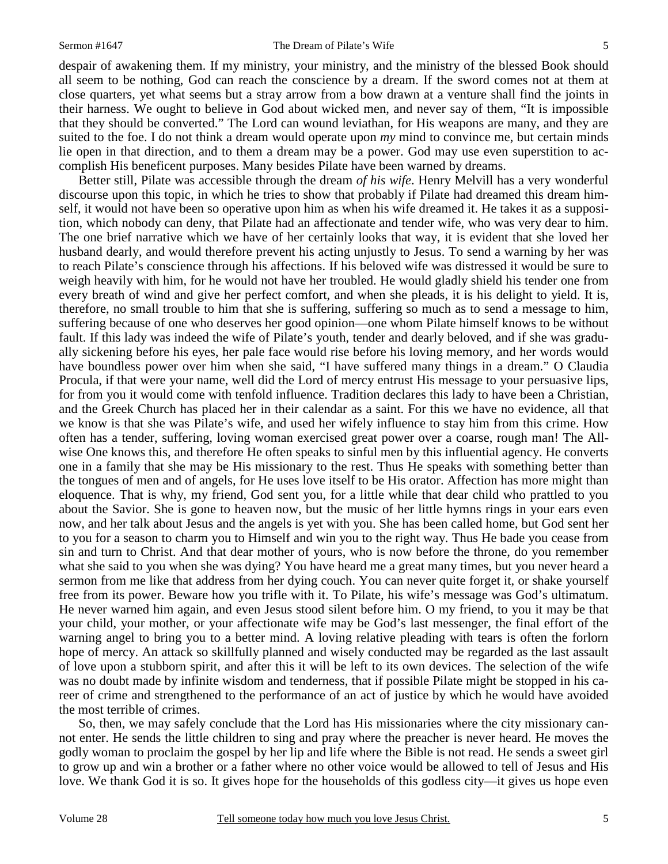despair of awakening them. If my ministry, your ministry, and the ministry of the blessed Book should all seem to be nothing, God can reach the conscience by a dream. If the sword comes not at them at close quarters, yet what seems but a stray arrow from a bow drawn at a venture shall find the joints in their harness. We ought to believe in God about wicked men, and never say of them, "It is impossible that they should be converted." The Lord can wound leviathan, for His weapons are many, and they are suited to the foe. I do not think a dream would operate upon *my* mind to convince me, but certain minds lie open in that direction, and to them a dream may be a power. God may use even superstition to accomplish His beneficent purposes. Many besides Pilate have been warned by dreams.

 Better still, Pilate was accessible through the dream *of his wife*. Henry Melvill has a very wonderful discourse upon this topic, in which he tries to show that probably if Pilate had dreamed this dream himself, it would not have been so operative upon him as when his wife dreamed it. He takes it as a supposition, which nobody can deny, that Pilate had an affectionate and tender wife, who was very dear to him. The one brief narrative which we have of her certainly looks that way, it is evident that she loved her husband dearly, and would therefore prevent his acting unjustly to Jesus. To send a warning by her was to reach Pilate's conscience through his affections. If his beloved wife was distressed it would be sure to weigh heavily with him, for he would not have her troubled. He would gladly shield his tender one from every breath of wind and give her perfect comfort, and when she pleads, it is his delight to yield. It is, therefore, no small trouble to him that she is suffering, suffering so much as to send a message to him, suffering because of one who deserves her good opinion—one whom Pilate himself knows to be without fault. If this lady was indeed the wife of Pilate's youth, tender and dearly beloved, and if she was gradually sickening before his eyes, her pale face would rise before his loving memory, and her words would have boundless power over him when she said, "I have suffered many things in a dream." O Claudia Procula, if that were your name, well did the Lord of mercy entrust His message to your persuasive lips, for from you it would come with tenfold influence. Tradition declares this lady to have been a Christian, and the Greek Church has placed her in their calendar as a saint. For this we have no evidence, all that we know is that she was Pilate's wife, and used her wifely influence to stay him from this crime. How often has a tender, suffering, loving woman exercised great power over a coarse, rough man! The Allwise One knows this, and therefore He often speaks to sinful men by this influential agency. He converts one in a family that she may be His missionary to the rest. Thus He speaks with something better than the tongues of men and of angels, for He uses love itself to be His orator. Affection has more might than eloquence. That is why, my friend, God sent you, for a little while that dear child who prattled to you about the Savior. She is gone to heaven now, but the music of her little hymns rings in your ears even now, and her talk about Jesus and the angels is yet with you. She has been called home, but God sent her to you for a season to charm you to Himself and win you to the right way. Thus He bade you cease from sin and turn to Christ. And that dear mother of yours, who is now before the throne, do you remember what she said to you when she was dying? You have heard me a great many times, but you never heard a sermon from me like that address from her dying couch. You can never quite forget it, or shake yourself free from its power. Beware how you trifle with it. To Pilate, his wife's message was God's ultimatum. He never warned him again, and even Jesus stood silent before him. O my friend, to you it may be that your child, your mother, or your affectionate wife may be God's last messenger, the final effort of the warning angel to bring you to a better mind. A loving relative pleading with tears is often the forlorn hope of mercy. An attack so skillfully planned and wisely conducted may be regarded as the last assault of love upon a stubborn spirit, and after this it will be left to its own devices. The selection of the wife was no doubt made by infinite wisdom and tenderness, that if possible Pilate might be stopped in his career of crime and strengthened to the performance of an act of justice by which he would have avoided the most terrible of crimes.

 So, then, we may safely conclude that the Lord has His missionaries where the city missionary cannot enter. He sends the little children to sing and pray where the preacher is never heard. He moves the godly woman to proclaim the gospel by her lip and life where the Bible is not read. He sends a sweet girl to grow up and win a brother or a father where no other voice would be allowed to tell of Jesus and His love. We thank God it is so. It gives hope for the households of this godless city—it gives us hope even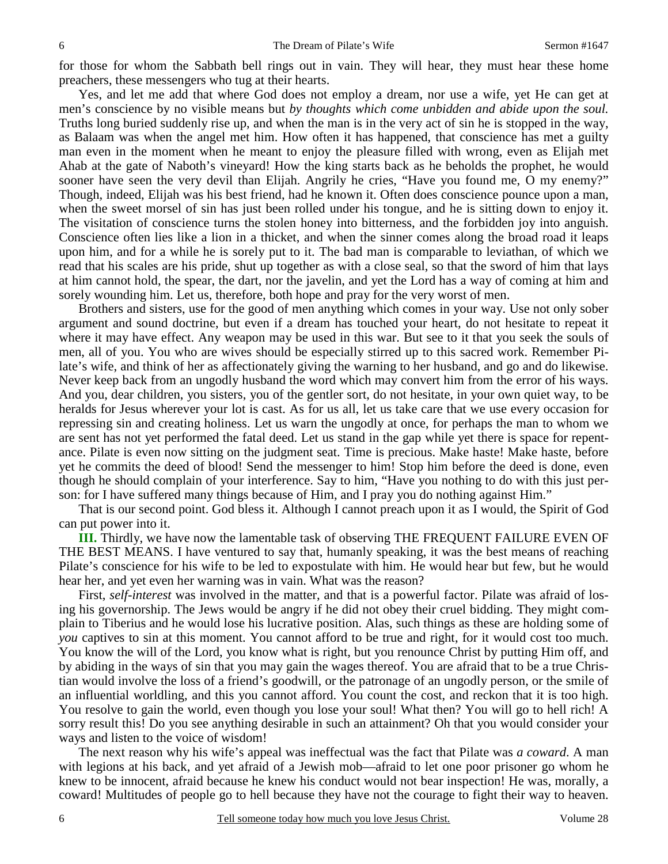for those for whom the Sabbath bell rings out in vain. They will hear, they must hear these home preachers, these messengers who tug at their hearts.

 Yes, and let me add that where God does not employ a dream, nor use a wife, yet He can get at men's conscience by no visible means but *by thoughts which come unbidden and abide upon the soul.* Truths long buried suddenly rise up, and when the man is in the very act of sin he is stopped in the way, as Balaam was when the angel met him. How often it has happened, that conscience has met a guilty man even in the moment when he meant to enjoy the pleasure filled with wrong, even as Elijah met Ahab at the gate of Naboth's vineyard! How the king starts back as he beholds the prophet, he would sooner have seen the very devil than Elijah. Angrily he cries, "Have you found me, O my enemy?" Though, indeed, Elijah was his best friend, had he known it. Often does conscience pounce upon a man, when the sweet morsel of sin has just been rolled under his tongue, and he is sitting down to enjoy it. The visitation of conscience turns the stolen honey into bitterness, and the forbidden joy into anguish. Conscience often lies like a lion in a thicket, and when the sinner comes along the broad road it leaps upon him, and for a while he is sorely put to it. The bad man is comparable to leviathan, of which we read that his scales are his pride, shut up together as with a close seal, so that the sword of him that lays at him cannot hold, the spear, the dart, nor the javelin, and yet the Lord has a way of coming at him and sorely wounding him. Let us, therefore, both hope and pray for the very worst of men.

 Brothers and sisters, use for the good of men anything which comes in your way. Use not only sober argument and sound doctrine, but even if a dream has touched your heart, do not hesitate to repeat it where it may have effect. Any weapon may be used in this war. But see to it that you seek the souls of men, all of you. You who are wives should be especially stirred up to this sacred work. Remember Pilate's wife, and think of her as affectionately giving the warning to her husband, and go and do likewise. Never keep back from an ungodly husband the word which may convert him from the error of his ways. And you, dear children, you sisters, you of the gentler sort, do not hesitate, in your own quiet way, to be heralds for Jesus wherever your lot is cast. As for us all, let us take care that we use every occasion for repressing sin and creating holiness. Let us warn the ungodly at once, for perhaps the man to whom we are sent has not yet performed the fatal deed. Let us stand in the gap while yet there is space for repentance. Pilate is even now sitting on the judgment seat. Time is precious. Make haste! Make haste, before yet he commits the deed of blood! Send the messenger to him! Stop him before the deed is done, even though he should complain of your interference. Say to him, "Have you nothing to do with this just person: for I have suffered many things because of Him, and I pray you do nothing against Him."

 That is our second point. God bless it. Although I cannot preach upon it as I would, the Spirit of God can put power into it.

**III.** Thirdly, we have now the lamentable task of observing THE FREQUENT FAILURE EVEN OF THE BEST MEANS. I have ventured to say that, humanly speaking, it was the best means of reaching Pilate's conscience for his wife to be led to expostulate with him. He would hear but few, but he would hear her, and yet even her warning was in vain. What was the reason?

 First, *self-interest* was involved in the matter, and that is a powerful factor. Pilate was afraid of losing his governorship. The Jews would be angry if he did not obey their cruel bidding. They might complain to Tiberius and he would lose his lucrative position. Alas, such things as these are holding some of *you* captives to sin at this moment. You cannot afford to be true and right, for it would cost too much. You know the will of the Lord, you know what is right, but you renounce Christ by putting Him off, and by abiding in the ways of sin that you may gain the wages thereof. You are afraid that to be a true Christian would involve the loss of a friend's goodwill, or the patronage of an ungodly person, or the smile of an influential worldling, and this you cannot afford. You count the cost, and reckon that it is too high. You resolve to gain the world, even though you lose your soul! What then? You will go to hell rich! A sorry result this! Do you see anything desirable in such an attainment? Oh that you would consider your ways and listen to the voice of wisdom!

 The next reason why his wife's appeal was ineffectual was the fact that Pilate was *a coward*. A man with legions at his back, and yet afraid of a Jewish mob—afraid to let one poor prisoner go whom he knew to be innocent, afraid because he knew his conduct would not bear inspection! He was, morally, a coward! Multitudes of people go to hell because they have not the courage to fight their way to heaven.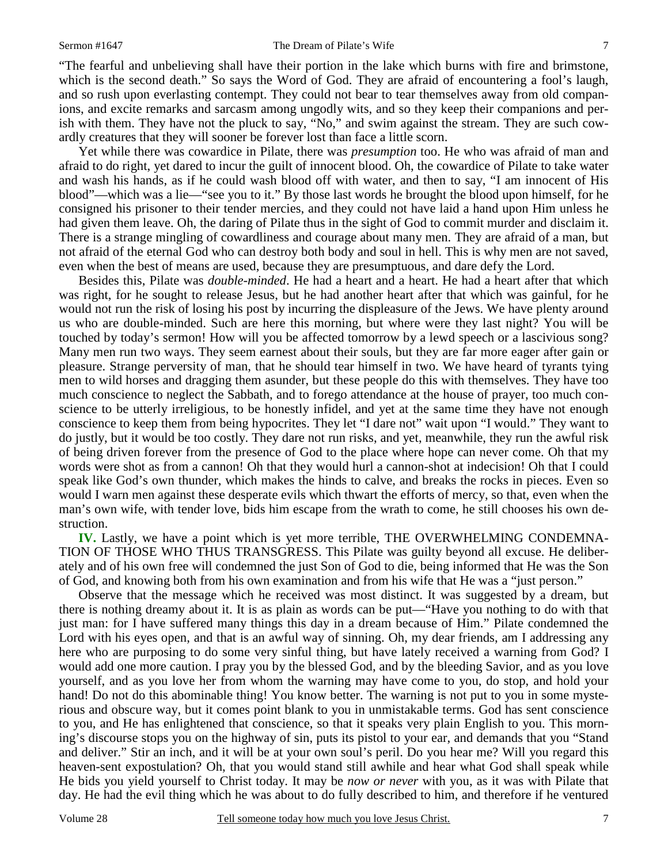"The fearful and unbelieving shall have their portion in the lake which burns with fire and brimstone, which is the second death." So says the Word of God. They are afraid of encountering a fool's laugh, and so rush upon everlasting contempt. They could not bear to tear themselves away from old companions, and excite remarks and sarcasm among ungodly wits, and so they keep their companions and perish with them. They have not the pluck to say, "No," and swim against the stream. They are such cowardly creatures that they will sooner be forever lost than face a little scorn.

 Yet while there was cowardice in Pilate, there was *presumption* too. He who was afraid of man and afraid to do right, yet dared to incur the guilt of innocent blood. Oh, the cowardice of Pilate to take water and wash his hands, as if he could wash blood off with water, and then to say, "I am innocent of His blood"—which was a lie—"see you to it." By those last words he brought the blood upon himself, for he consigned his prisoner to their tender mercies, and they could not have laid a hand upon Him unless he had given them leave. Oh, the daring of Pilate thus in the sight of God to commit murder and disclaim it. There is a strange mingling of cowardliness and courage about many men. They are afraid of a man, but not afraid of the eternal God who can destroy both body and soul in hell. This is why men are not saved, even when the best of means are used, because they are presumptuous, and dare defy the Lord.

 Besides this, Pilate was *double-minded*. He had a heart and a heart. He had a heart after that which was right, for he sought to release Jesus, but he had another heart after that which was gainful, for he would not run the risk of losing his post by incurring the displeasure of the Jews. We have plenty around us who are double-minded. Such are here this morning, but where were they last night? You will be touched by today's sermon! How will you be affected tomorrow by a lewd speech or a lascivious song? Many men run two ways. They seem earnest about their souls, but they are far more eager after gain or pleasure. Strange perversity of man, that he should tear himself in two. We have heard of tyrants tying men to wild horses and dragging them asunder, but these people do this with themselves. They have too much conscience to neglect the Sabbath, and to forego attendance at the house of prayer, too much conscience to be utterly irreligious, to be honestly infidel, and yet at the same time they have not enough conscience to keep them from being hypocrites. They let "I dare not" wait upon "I would." They want to do justly, but it would be too costly. They dare not run risks, and yet, meanwhile, they run the awful risk of being driven forever from the presence of God to the place where hope can never come. Oh that my words were shot as from a cannon! Oh that they would hurl a cannon-shot at indecision! Oh that I could speak like God's own thunder, which makes the hinds to calve, and breaks the rocks in pieces. Even so would I warn men against these desperate evils which thwart the efforts of mercy, so that, even when the man's own wife, with tender love, bids him escape from the wrath to come, he still chooses his own destruction.

**IV.** Lastly, we have a point which is yet more terrible, THE OVERWHELMING CONDEMNA-TION OF THOSE WHO THUS TRANSGRESS. This Pilate was guilty beyond all excuse. He deliberately and of his own free will condemned the just Son of God to die, being informed that He was the Son of God, and knowing both from his own examination and from his wife that He was a "just person."

 Observe that the message which he received was most distinct. It was suggested by a dream, but there is nothing dreamy about it. It is as plain as words can be put—"Have you nothing to do with that just man: for I have suffered many things this day in a dream because of Him." Pilate condemned the Lord with his eyes open, and that is an awful way of sinning. Oh, my dear friends, am I addressing any here who are purposing to do some very sinful thing, but have lately received a warning from God? I would add one more caution. I pray you by the blessed God, and by the bleeding Savior, and as you love yourself, and as you love her from whom the warning may have come to you, do stop, and hold your hand! Do not do this abominable thing! You know better. The warning is not put to you in some mysterious and obscure way, but it comes point blank to you in unmistakable terms. God has sent conscience to you, and He has enlightened that conscience, so that it speaks very plain English to you. This morning's discourse stops you on the highway of sin, puts its pistol to your ear, and demands that you "Stand and deliver." Stir an inch, and it will be at your own soul's peril. Do you hear me? Will you regard this heaven-sent expostulation? Oh, that you would stand still awhile and hear what God shall speak while He bids you yield yourself to Christ today. It may be *now or never* with you, as it was with Pilate that day. He had the evil thing which he was about to do fully described to him, and therefore if he ventured